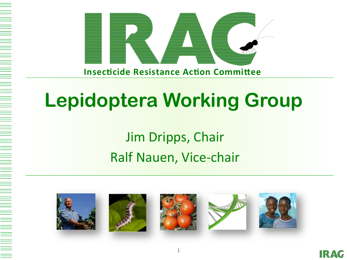



### Jim Dripps, Chair Ralf Nauen, Vice-chair











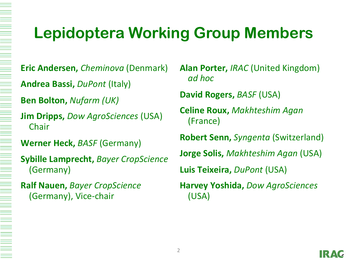### **Lepidoptera Working Group Members**

**Eric Andersen, Cheminova (Denmark)** 

**Andrea Bassi, DuPont (Italy)** 

**Ben Bolton, Nufarm (UK)** 

**Jim Dripps, Dow AgroSciences (USA)** Chair 

**Werner Heck, BASF (Germany)** 

**Sybille Lamprecht, Bayer CropScience** (Germany) 

**Ralf Nauen,** *Bayer CropScience* (Germany), Vice-chair

**Alan Porter, IRAC (United Kingdom)** *ad hoc* 

**David Rogers, BASF (USA)** 

**Celine Roux,** *Makhteshim Agan* (France) 

**Robert Senn,** *Syngenta* (Switzerland)

**Jorge Solis,** *Makhteshim Agan* (USA) 

**Luis Teixeira,** *DuPont* (USA)

**Harvey Yoshida, Dow AgroSciences** (USA)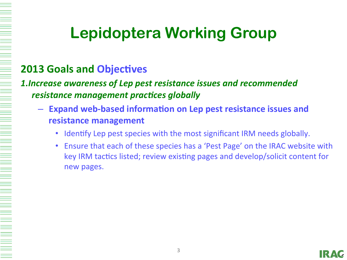#### **2013 Goals and Objectives**

**1.Increase awareness of Lep pest resistance issues and recommended** *resistance management practices globally* 

- $-$  Expand web-based information on Lep pest resistance issues and **resistance management**
	- Identify Lep pest species with the most significant IRM needs globally.
	- Ensure that each of these species has a 'Pest Page' on the IRAC website with key IRM tactics listed; review existing pages and develop/solicit content for new pages.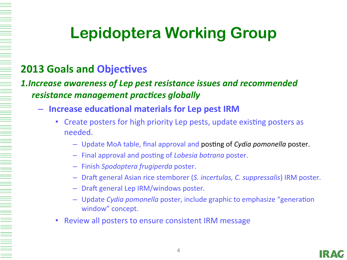#### **2013 Goals and Objectives**

#### **1.Increase awareness of Lep pest resistance issues and recommended** *resistance management practices globally*

- $-$  Increase educational materials for Lep pest IRM
	- Create posters for high priority Lep pests, update existing posters as needed.
		- $-$  Update MoA table, final approval and posting of *Cydia pomonella* poster.
		- $-$  Final approval and posting of *Lobesia botrana* poster.
		- Finish *Spodoptera frugiperda* poster.
		- $-$  Draft general Asian rice stemborer (S. incertulas, C. suppressalis) IRM poster.
		- $-$  Draft general Lep IRM/windows poster.
		- $-$  Update *Cydia pomonella* poster, include graphic to emphasize "generation window" concept.
	- Review all posters to ensure consistent IRM message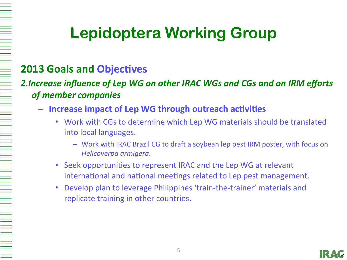#### **2013 Goals and Objectives**

#### **2.Increase influence of Lep WG on other IRAC WGs and CGs and on IRM efforts** *of member companies*

- $-$  Increase impact of Lep WG through outreach activities
	- Work with CGs to determine which Lep WG materials should be translated into local languages.
		- $-$  Work with IRAC Brazil CG to draft a soybean lep pest IRM poster, with focus on *Helicoverpa armigera*.
	- Seek opportunities to represent IRAC and the Lep WG at relevant international and national meetings related to Lep pest management.
	- Develop plan to leverage Philippines 'train-the-trainer' materials and replicate training in other countries.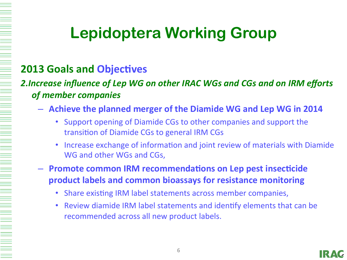#### **2013 Goals and Objectives**

#### **2.Increase influence of Lep WG on other IRAC WGs and CGs and on IRM efforts** *of member companies*

- $-$  Achieve the planned merger of the Diamide WG and Lep WG in 2014
	- Support opening of Diamide CGs to other companies and support the transition of Diamide CGs to general IRM CGs
	- Increase exchange of information and joint review of materials with Diamide WG and other WGs and CGs,
- $-$  **Promote common IRM recommendations on Lep pest insecticide product labels and common bioassays for resistance monitoring** 
	- Share existing IRM label statements across member companies,
	- Review diamide IRM label statements and identify elements that can be recommended across all new product labels.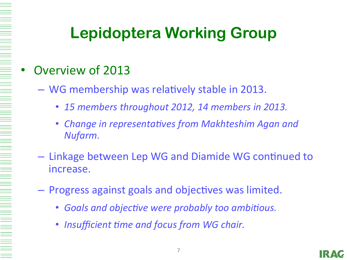#### Overview of 2013

- WG membership was relatively stable in 2013.
	- 15 members throughout 2012, 14 members in 2013.
	- Change in representatives from Makhteshim Agan and *Nufarm.*
- $-$  Linkage between Lep WG and Diamide WG continued to increase.
- $-$  Progress against goals and objectives was limited.
	- Goals and objective were probably too ambitious.
	- Insufficient time and focus from WG chair.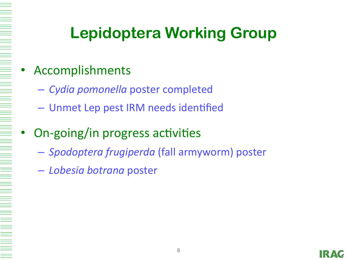#### **Accomplishments**

- *Cydia pomonella* poster completed
- Unmet Lep pest IRM needs identified

### On-going/in progress activities

- *Spodoptera frugiperda* (fall armyworm) poster
- *Lobesia botrana* poster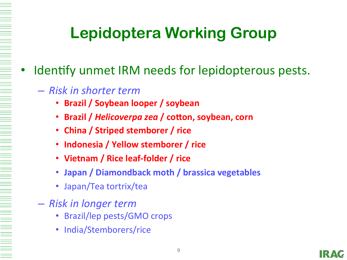#### Identify unmet IRM needs for lepidopterous pests.

#### – *Risk in shorter term*

- **Brazil / Soybean looper / soybean**
- **Brazil / Helicoverpa zea / cotton, soybean, corn**
- China / Striped stemborer / rice
- **Indonesia / Yellow stemborer / rice**
- Vietnam / Rice leaf-folder / rice
- **Japan / Diamondback moth / brassica vegetables**
- Japan/Tea tortrix/tea
- *Risk in longer term* 
	- Brazil/lep pests/GMO crops
	- India/Stemborers/rice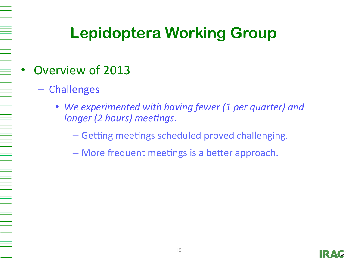#### Overview of 2013

- Challenges
	- We experimented with having fewer (1 per quarter) and *longer (2 hours) meetings.* 
		- Getting meetings scheduled proved challenging.
		- More frequent meetings is a better approach.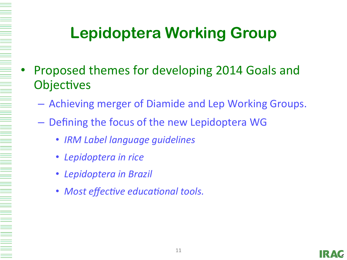- Proposed themes for developing 2014 Goals and Objectives
	- $-$  Achieving merger of Diamide and Lep Working Groups.
	- $-$  Defining the focus of the new Lepidoptera WG
		- *IRM Label language guidelines*
		- Lepidoptera in rice
		- **Lepidoptera in Brazil**
		- Most effective educational tools.